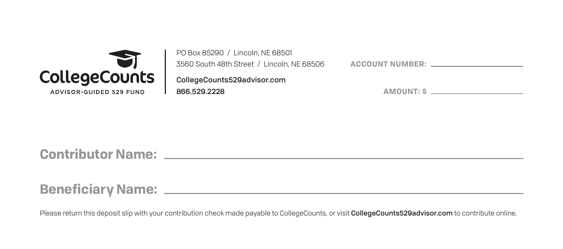

| PO Box 85290 / Lincoln, NE 68501           |   |  |  |  |  |  |
|--------------------------------------------|---|--|--|--|--|--|
| 3560 South 48th Street / Lincoln, NE 68506 | L |  |  |  |  |  |
| CollegeCounts529advisor.com                |   |  |  |  |  |  |
| 866.529.2228                               |   |  |  |  |  |  |

|  |  |  |  |  |  |  |  | <b>ACCOUNT NUMBER:</b> |  |  |  |  |  |  |  |
|--|--|--|--|--|--|--|--|------------------------|--|--|--|--|--|--|--|
|--|--|--|--|--|--|--|--|------------------------|--|--|--|--|--|--|--|

| <b>AMOUNT: S</b> |  |
|------------------|--|
|                  |  |
|                  |  |
|                  |  |

**Contributor Name:**

**Beneficiary Name:**

Please return this deposit slip with your contribution check made payable to CollegeCounts, or visit CollegeCounts529advisor.com to contribute online.